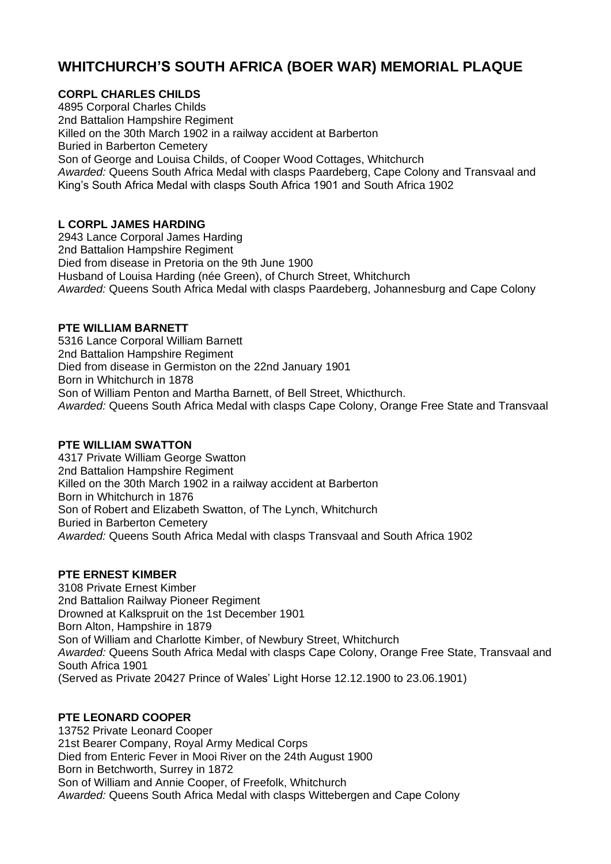# **WHITCHURCH'S SOUTH AFRICA (BOER WAR) MEMORIAL PLAQUE**

# **CORPL CHARLES CHILDS**

4895 Corporal Charles Childs 2nd Battalion Hampshire Regiment Killed on the 30th March 1902 in a railway accident at Barberton Buried in Barberton Cemetery Son of George and Louisa Childs, of Cooper Wood Cottages, Whitchurch *Awarded:* Queens South Africa Medal with clasps Paardeberg, Cape Colony and Transvaal and King's South Africa Medal with clasps South Africa 1901 and South Africa 1902

# **L CORPL JAMES HARDING**

2943 Lance Corporal James Harding 2nd Battalion Hampshire Regiment Died from disease in Pretoria on the 9th June 1900 Husband of Louisa Harding (née Green), of Church Street, Whitchurch *Awarded:* Queens South Africa Medal with clasps Paardeberg, Johannesburg and Cape Colony

# **PTE WILLIAM BARNETT**

5316 Lance Corporal William Barnett 2nd Battalion Hampshire Regiment Died from disease in Germiston on the 22nd January 1901 Born in Whitchurch in 1878 Son of William Penton and Martha Barnett, of Bell Street, Whicthurch. *Awarded:* Queens South Africa Medal with clasps Cape Colony, Orange Free State and Transvaal

# **PTE WILLIAM SWATTON**

4317 Private William George Swatton 2nd Battalion Hampshire Regiment Killed on the 30th March 1902 in a railway accident at Barberton Born in Whitchurch in 1876 Son of Robert and Elizabeth Swatton, of The Lynch, Whitchurch Buried in Barberton Cemetery *Awarded:* Queens South Africa Medal with clasps Transvaal and South Africa 1902

# **PTE ERNEST KIMBER**

3108 Private Ernest Kimber 2nd Battalion Railway Pioneer Regiment Drowned at Kalkspruit on the 1st December 1901 Born Alton, Hampshire in 1879 Son of William and Charlotte Kimber, of Newbury Street, Whitchurch *Awarded:* Queens South Africa Medal with clasps Cape Colony, Orange Free State, Transvaal and South Africa 1901 (Served as Private 20427 Prince of Wales' Light Horse 12.12.1900 to 23.06.1901)

# **PTE LEONARD COOPER**

13752 Private Leonard Cooper 21st Bearer Company, Royal Army Medical Corps Died from Enteric Fever in Mooi River on the 24th August 1900 Born in Betchworth, Surrey in 1872 Son of William and Annie Cooper, of Freefolk, Whitchurch *Awarded:* Queens South Africa Medal with clasps Wittebergen and Cape Colony